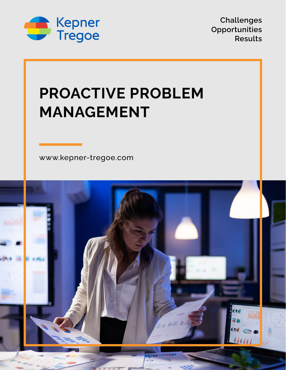

**Challenges Opportunities Results**

# **PROACTIVE PROBLEM MANAGEMENT**

[www.kepner-tregoe.com](http://www.kepner-tregoe.com)